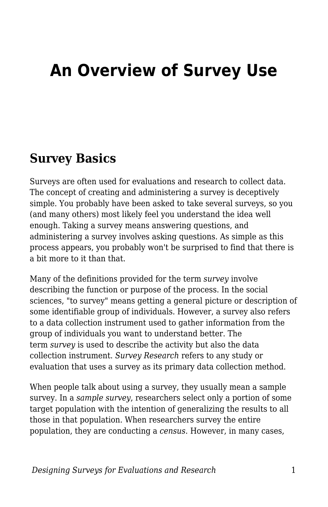# **An Overview of Survey Use**

### **Survey Basics**

Surveys are often used for evaluations and research to collect data. The concept of creating and administering a survey is deceptively simple. You probably have been asked to take several surveys, so you (and many others) most likely feel you understand the idea well enough. Taking a survey means answering questions, and administering a survey involves asking questions. As simple as this process appears, you probably won't be surprised to find that there is a bit more to it than that.

Many of the definitions provided for the term *survey* involve describing the function or purpose of the process. In the social sciences, "to survey" means getting a general picture or description of some identifiable group of individuals. However, a survey also refers to a data collection instrument used to gather information from the group of individuals you want to understand better. The term *survey* is used to describe the activity but also the data collection instrument. *Survey Research* refers to any study or evaluation that uses a survey as its primary data collection method.

When people talk about using a survey, they usually mean a sample survey. In a *sample survey*, researchers select only a portion of some target population with the intention of generalizing the results to all those in that population. When researchers survey the entire population, they are conducting a *census*. However, in many cases,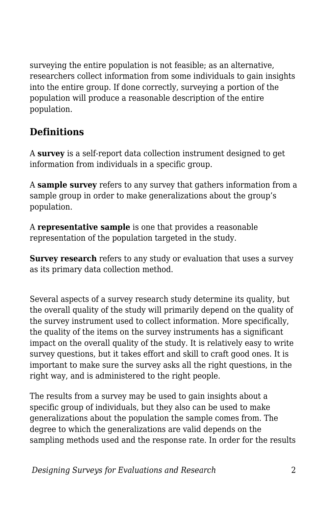surveying the entire population is not feasible; as an alternative, researchers collect information from some individuals to gain insights into the entire group. If done correctly, surveying a portion of the population will produce a reasonable description of the entire population.

### **Definitions**

A **survey** is a self-report data collection instrument designed to get information from individuals in a specific group.

A **sample survey** refers to any survey that gathers information from a sample group in order to make generalizations about the group's population.

A **representative sample** is one that provides a reasonable representation of the population targeted in the study.

**Survey research** refers to any study or evaluation that uses a survey as its primary data collection method.

Several aspects of a survey research study determine its quality, but the overall quality of the study will primarily depend on the quality of the survey instrument used to collect information. More specifically, the quality of the items on the survey instruments has a significant impact on the overall quality of the study. It is relatively easy to write survey questions, but it takes effort and skill to craft good ones. It is important to make sure the survey asks all the right questions, in the right way, and is administered to the right people.

The results from a survey may be used to gain insights about a specific group of individuals, but they also can be used to make generalizations about the population the sample comes from. The degree to which the generalizations are valid depends on the sampling methods used and the response rate. In order for the results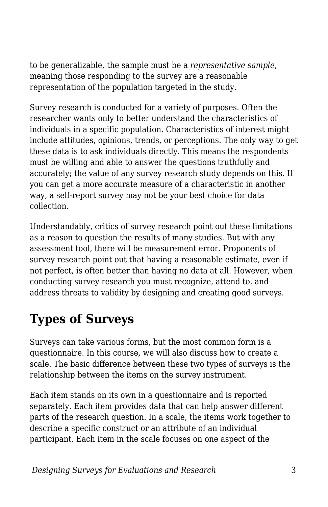to be generalizable, the sample must be a *representative sample*, meaning those responding to the survey are a reasonable representation of the population targeted in the study.

Survey research is conducted for a variety of purposes. Often the researcher wants only to better understand the characteristics of individuals in a specific population. Characteristics of interest might include attitudes, opinions, trends, or perceptions. The only way to get these data is to ask individuals directly. This means the respondents must be willing and able to answer the questions truthfully and accurately; the value of any survey research study depends on this. If you can get a more accurate measure of a characteristic in another way, a self-report survey may not be your best choice for data collection.

Understandably, critics of survey research point out these limitations as a reason to question the results of many studies. But with any assessment tool, there will be measurement error. Proponents of survey research point out that having a reasonable estimate, even if not perfect, is often better than having no data at all. However, when conducting survey research you must recognize, attend to, and address threats to validity by designing and creating good surveys.

## **Types of Surveys**

Surveys can take various forms, but the most common form is a questionnaire. In this course, we will also discuss how to create a scale. The basic difference between these two types of surveys is the relationship between the items on the survey instrument.

Each item stands on its own in a questionnaire and is reported separately. Each item provides data that can help answer different parts of the research question. In a scale, the items work together to describe a specific construct or an attribute of an individual participant. Each item in the scale focuses on one aspect of the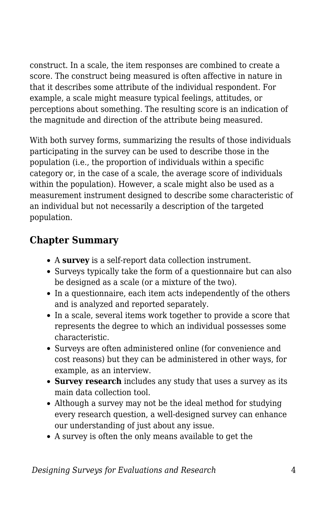construct. In a scale, the item responses are combined to create a score. The construct being measured is often affective in nature in that it describes some attribute of the individual respondent. For example, a scale might measure typical feelings, attitudes, or perceptions about something. The resulting score is an indication of the magnitude and direction of the attribute being measured.

With both survey forms, summarizing the results of those individuals participating in the survey can be used to describe those in the population (i.e., the proportion of individuals within a specific category or, in the case of a scale, the average score of individuals within the population). However, a scale might also be used as a measurement instrument designed to describe some characteristic of an individual but not necessarily a description of the targeted population.

### **Chapter Summary**

- A **survey** is a self-report data collection instrument.
- Surveys typically take the form of a questionnaire but can also be designed as a scale (or a mixture of the two).
- In a questionnaire, each item acts independently of the others and is analyzed and reported separately.
- In a scale, several items work together to provide a score that represents the degree to which an individual possesses some characteristic.
- Surveys are often administered online (for convenience and cost reasons) but they can be administered in other ways, for example, as an interview.
- **Survey research** includes any study that uses a survey as its main data collection tool.
- Although a survey may not be the ideal method for studying every research question, a well-designed survey can enhance our understanding of just about any issue.
- A survey is often the only means available to get the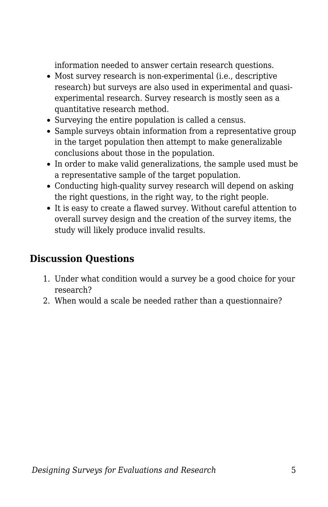information needed to answer certain research questions.

- Most survey research is non-experimental (i.e., descriptive research) but surveys are also used in experimental and quasiexperimental research. Survey research is mostly seen as a quantitative research method.
- Surveying the entire population is called a census.
- Sample surveys obtain information from a representative group in the target population then attempt to make generalizable conclusions about those in the population.
- In order to make valid generalizations, the sample used must be a representative sample of the target population.
- Conducting high-quality survey research will depend on asking the right questions, in the right way, to the right people.
- It is easy to create a flawed survey. Without careful attention to overall survey design and the creation of the survey items, the study will likely produce invalid results.

#### **Discussion Questions**

- 1. Under what condition would a survey be a good choice for your research?
- 2. When would a scale be needed rather than a questionnaire?